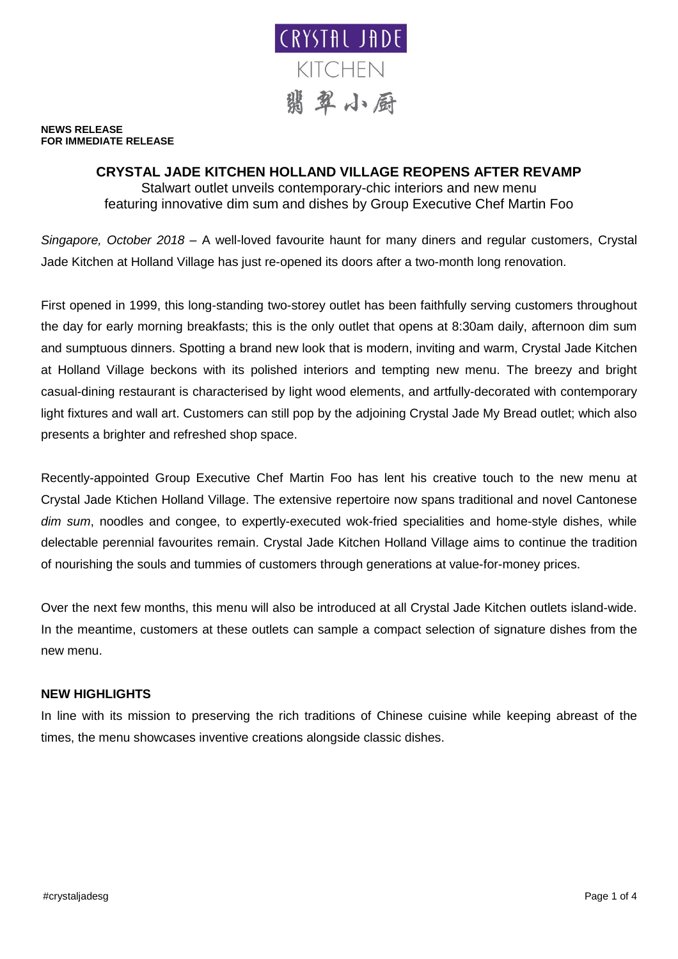

**NEWS RELEASE FOR IMMEDIATE RELEASE**

# **CRYSTAL JADE KITCHEN HOLLAND VILLAGE REOPENS AFTER REVAMP**

Stalwart outlet unveils contemporary-chic interiors and new menu featuring innovative dim sum and dishes by Group Executive Chef Martin Foo

*Singapore, October 2018* – A well-loved favourite haunt for many diners and regular customers, Crystal Jade Kitchen at Holland Village has just re-opened its doors after a two-month long renovation.

First opened in 1999, this long-standing two-storey outlet has been faithfully serving customers throughout the day for early morning breakfasts; this is the only outlet that opens at 8:30am daily, afternoon dim sum and sumptuous dinners. Spotting a brand new look that is modern, inviting and warm, Crystal Jade Kitchen at Holland Village beckons with its polished interiors and tempting new menu. The breezy and bright casual-dining restaurant is characterised by light wood elements, and artfully-decorated with contemporary light fixtures and wall art. Customers can still pop by the adjoining Crystal Jade My Bread outlet; which also presents a brighter and refreshed shop space.

Recently-appointed Group Executive Chef Martin Foo has lent his creative touch to the new menu at Crystal Jade Ktichen Holland Village. The extensive repertoire now spans traditional and novel Cantonese *dim sum*, noodles and congee, to expertly-executed wok-fried specialities and home-style dishes, while delectable perennial favourites remain. Crystal Jade Kitchen Holland Village aims to continue the tradition of nourishing the souls and tummies of customers through generations at value-for-money prices.

Over the next few months, this menu will also be introduced at all Crystal Jade Kitchen outlets island-wide. In the meantime, customers at these outlets can sample a compact selection of signature dishes from the new menu.

## **NEW HIGHLIGHTS**

In line with its mission to preserving the rich traditions of Chinese cuisine while keeping abreast of the times, the menu showcases inventive creations alongside classic dishes.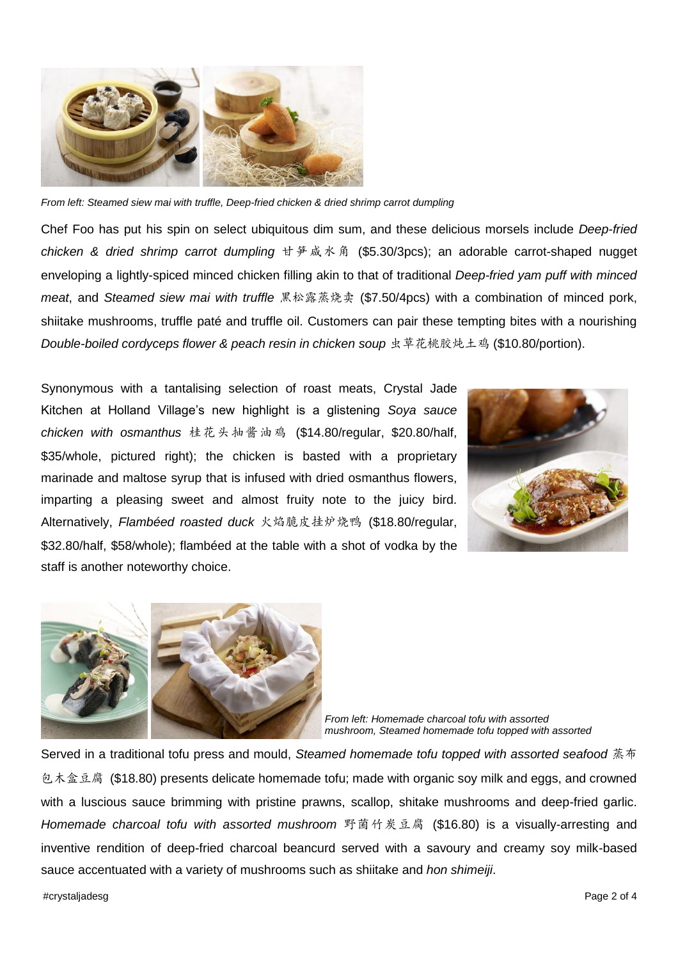

*From left: Steamed siew mai with truffle, Deep-fried chicken & dried shrimp carrot dumpling*

Chef Foo has put his spin on select ubiquitous dim sum, and these delicious morsels include *Deep-fried chicken & dried shrimp carrot dumpling* 甘笋咸水角 (\$5.30/3pcs); an adorable carrot-shaped nugget enveloping a lightly-spiced minced chicken filling akin to that of traditional *Deep-fried yam puff with minced meat*, and *Steamed siew mai with truffle* 黑松露蒸烧卖 (\$7.50/4pcs) with a combination of minced pork, shiitake mushrooms, truffle paté and truffle oil. Customers can pair these tempting bites with a nourishing *Double-boiled cordyceps flower & peach resin in chicken soup* 虫草花桃胶炖土鸡 (\$10.80/portion).

Synonymous with a tantalising selection of roast meats, Crystal Jade Kitchen at Holland Village's new highlight is a glistening *Soya sauce chicken with osmanthus* 桂花头抽酱油鸡 (\$14.80/regular, \$20.80/half, \$35/whole, pictured right); the chicken is basted with a proprietary marinade and maltose syrup that is infused with dried osmanthus flowers, imparting a pleasing sweet and almost fruity note to the juicy bird. Alternatively, *Flambéed roasted duck* 火焰脆皮挂炉烧鸭 (\$18.80/regular, \$32.80/half, \$58/whole); flambéed at the table with a shot of vodka by the staff is another noteworthy choice.





*From left: Homemade charcoal tofu with assorted mushroom, Steamed homemade tofu topped with assorted* 

Served in a traditional tofu press and mould, *Steamed homemade tofu topped with assorted seafood* 蒸布 包木盒豆腐 (\$18.80) presents delicate homemade tofu; made with organic soy milk and eggs, and crowned with a luscious sauce brimming with pristine prawns, scallop, shitake mushrooms and deep-fried garlic. *Homemade charcoal tofu with assorted mushroom* 野菌竹炭豆腐 (\$16.80) is a visually-arresting and inventive rendition of deep-fried charcoal beancurd served with a savoury and creamy soy milk-based sauce accentuated with a variety of mushrooms such as shiitake and *hon shimeiji*.

#crystaljadesg Page 2 of 4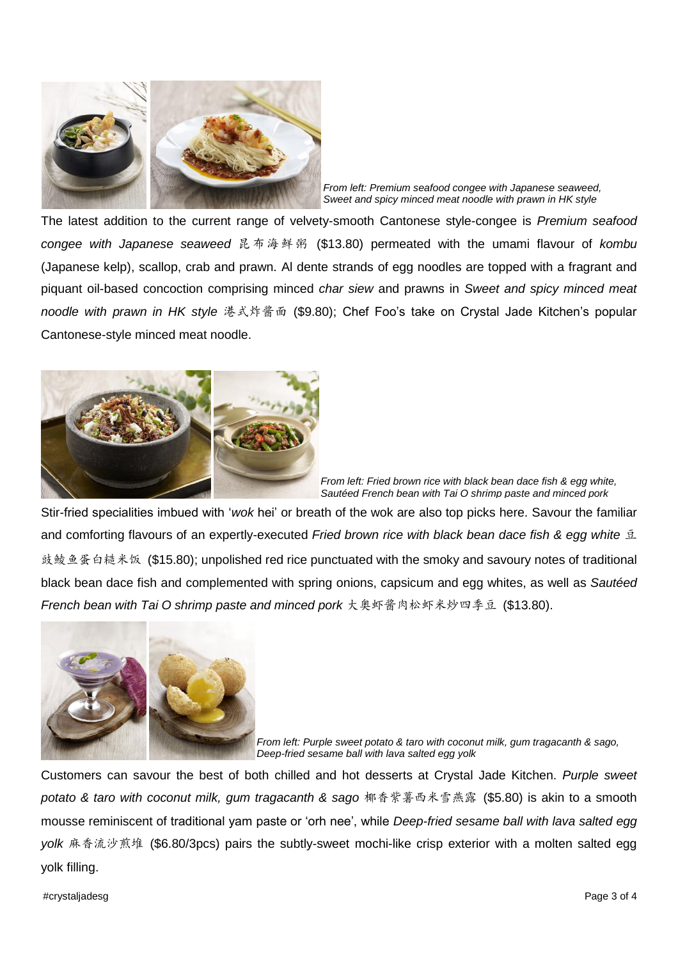

*From left: Premium seafood congee with Japanese seaweed, Sweet and spicy minced meat noodle with prawn in HK style* 

The latest addition to the current range of velvety-smooth Cantonese style-congee is *Premium seafood congee with Japanese seaweed* 昆布海鲜粥 (\$13.80) permeated with the umami flavour of *kombu* (Japanese kelp), scallop, crab and prawn. Al dente strands of egg noodles are topped with a fragrant and piquant oil-based concoction comprising minced *char siew* and prawns in *Sweet and spicy minced meat noodle with prawn in HK style* 港式炸酱面 (\$9.80); Chef Foo's take on Crystal Jade Kitchen's popular Cantonese-style minced meat noodle.



*From left: Fried brown rice with black bean dace fish & egg white, Sautéed French bean with Tai O shrimp paste and minced pork*

Stir-fried specialities imbued with '*wok* hei' or breath of the wok are also top picks here. Savour the familiar and comforting flavours of an expertly-executed *Fried brown rice with black bean dace fish & egg white* 豆 豉鲮鱼蛋白糙米饭 (\$15.80); unpolished red rice punctuated with the smoky and savoury notes of traditional black bean dace fish and complemented with spring onions, capsicum and egg whites, as well as *Sautéed French bean with Tai O shrimp paste and minced pork* 大奥虾酱肉松虾米炒四季豆 (\$13.80).



*From left: Purple sweet potato & taro with coconut milk, gum tragacanth & sago, Deep-fried sesame ball with lava salted egg yolk*

Customers can savour the best of both chilled and hot desserts at Crystal Jade Kitchen. *Purple sweet potato & taro with coconut milk, gum tragacanth & sago* 椰香紫薯西米雪燕露 (\$5.80) is akin to a smooth mousse reminiscent of traditional yam paste or 'orh nee', while *Deep-fried sesame ball with lava salted egg yolk* 麻香流沙煎堆 (\$6.80/3pcs) pairs the subtly-sweet mochi-like crisp exterior with a molten salted egg yolk filling.

#crystaljadesg Page 3 of 4